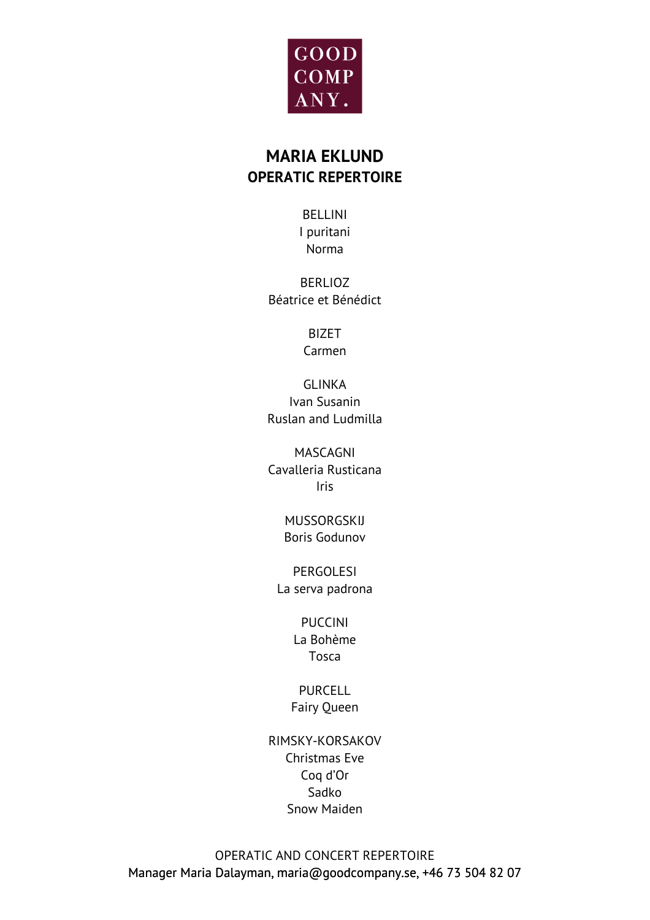

# **MARIA EKLUND OPERATIC REPERTOIRE**

BELLINI I puritani Norma

BERLIOZ Béatrice et Bénédict

> BIZET Carmen

GLINKA Ivan Susanin Ruslan and Ludmilla

MASCAGNI Cavalleria Rusticana Iris

> MUSSORGSKIJ Boris Godunov

PERGOLESI La serva padrona

> PUCCINI La Bohème Tosca

PURCELL. Fairy Queen

RIMSKY-KORSAKOV Christmas Eve Coq d'Or Sadko Snow Maiden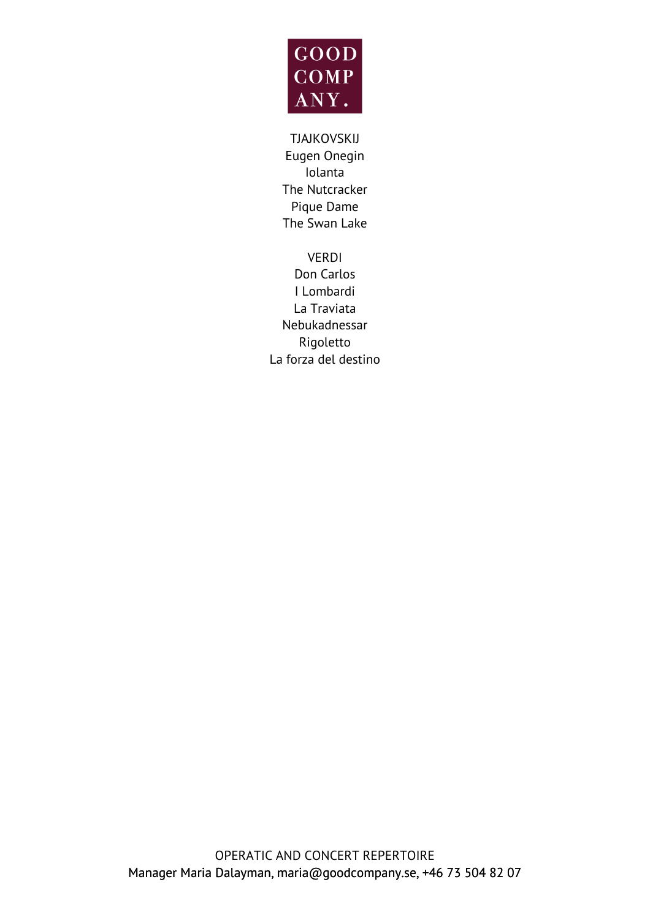

TJAJKOVSKIJ Eugen Onegin Iolanta The Nutcracker Pique Dame The Swan Lake

VERDI Don Carlos I Lombardi La Traviata Nebukadnessar Rigoletto La forza del destino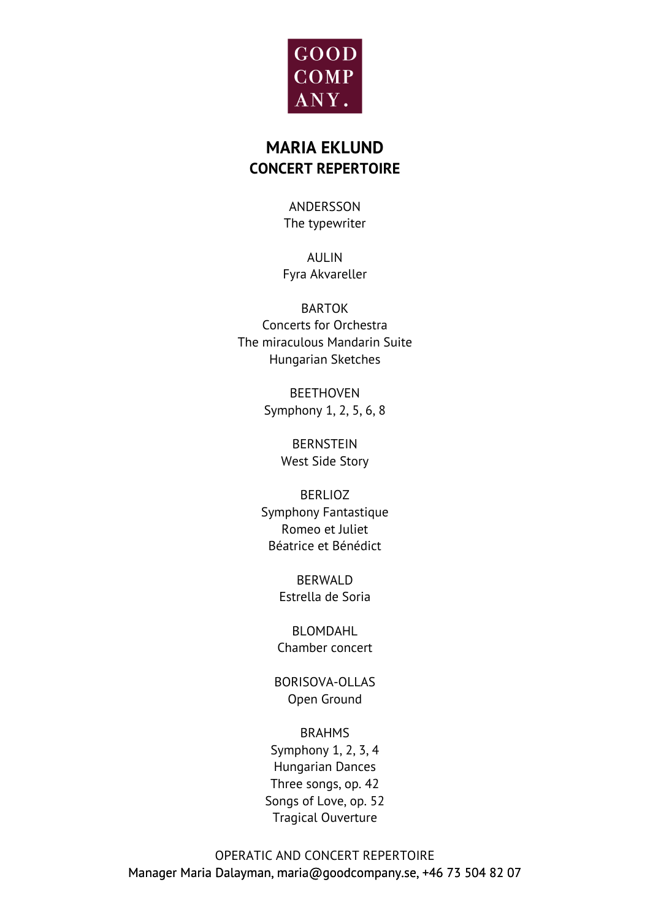

# **MARIA EKLUND CONCERT REPERTOIRE**

ANDERSSON The typewriter

AULIN Fyra Akvareller

BARTOK Concerts for Orchestra The miraculous Mandarin Suite Hungarian Sketches

> BEETHOVEN Symphony 1, 2, 5, 6, 8

> > BERNSTEIN West Side Story

BERLIOZ Symphony Fantastique Romeo et Juliet Béatrice et Bénédict

> BERWALD Estrella de Soria

BLOMDAHL Chamber concert

BORISOVA-OLLAS Open Ground

BRAHMS Symphony 1, 2, 3, 4 Hungarian Dances Three songs, op. 42 Songs of Love, op. 52 Tragical Ouverture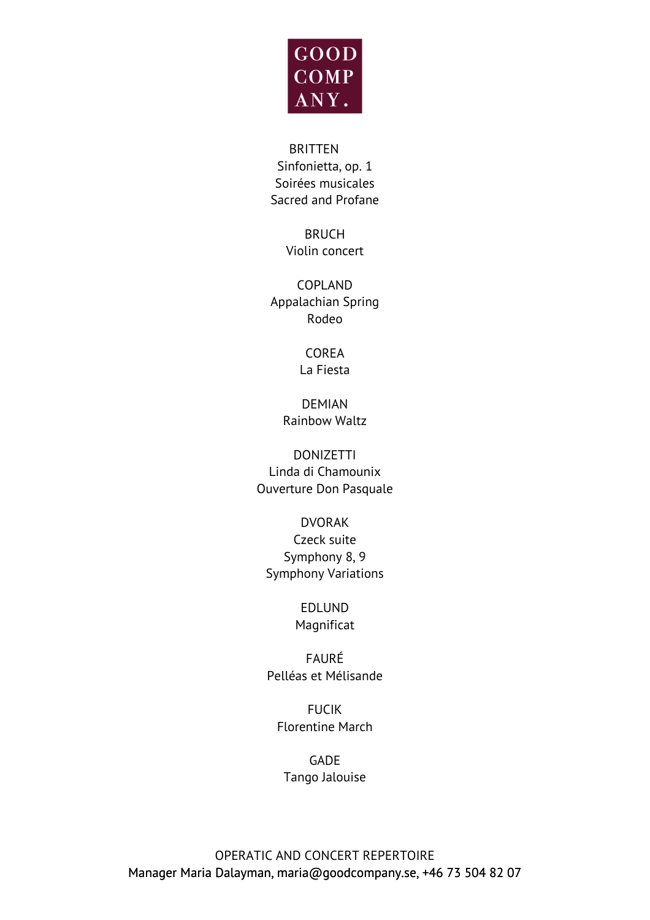

#### BRITTEN

Sinfonietta, op. 1 Soirées musicales Sacred and Profane

> BRUCH Violin concert

COPLAND Appalachian Spring Rodeo

> COREA La Fiesta

DEMIAN Rainbow Waltz

DONIZETTI Linda di Chamounix Ouverture Don Pasquale

DVORAK Czeck suite Symphony 8, 9 Symphony Variations

> EDLUND Magnificat

FAURÉ Pelléas et Mélisande

FUCIK Florentine March

GADE Tango Jalouise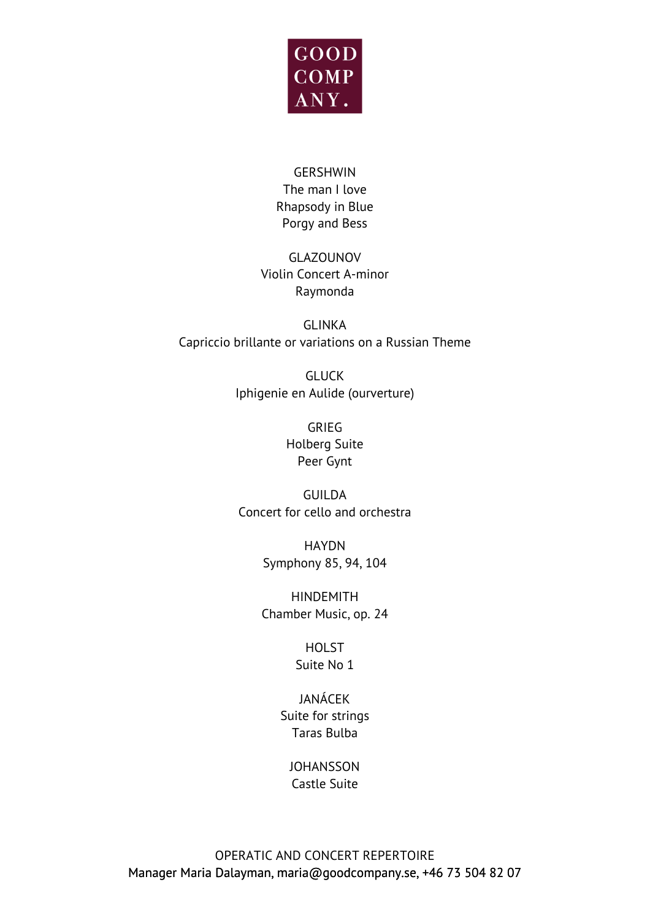

## GERSHWIN The man I love Rhapsody in Blue Porgy and Bess

## GLAZOUNOV Violin Concert A-minor Raymonda

GLINKA Capriccio brillante or variations on a Russian Theme

> GLUCK Iphigenie en Aulide (ourverture)

> > GRIEG Holberg Suite Peer Gynt

GUILDA Concert for cello and orchestra

> HAYDN Symphony 85, 94, 104

HINDEMITH Chamber Music, op. 24

> **HOLST** Suite No 1

JANÁCEK Suite for strings Taras Bulba

**JOHANSSON** Castle Suite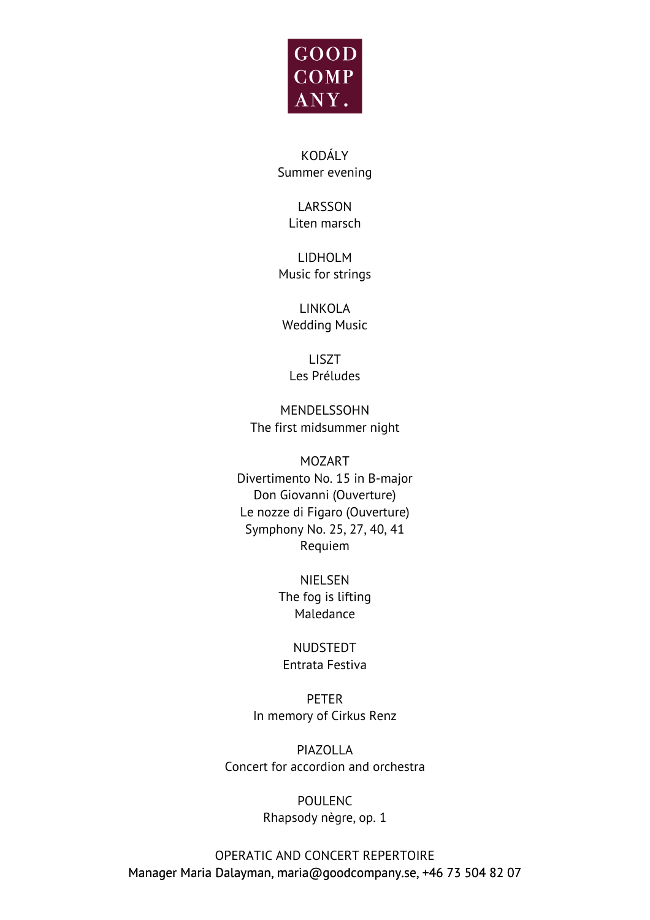

KODÁLY Summer evening

> LARSSON Liten marsch

LIDHOLM Music for strings

LINKOLA Wedding Music

LISZT Les Préludes

MENDELSSOHN The first midsummer night

MOZART Divertimento No. 15 in B-major Don Giovanni (Ouverture) Le nozze di Figaro (Ouverture) Symphony No. 25, 27, 40, 41 Requiem

> NIELSEN The fog is lifting Maledance

NUDSTEDT Entrata Festiva

PETER In memory of Cirkus Renz

PIAZOLLA Concert for accordion and orchestra

> POULENC Rhapsody nègre, op. 1

OPERATIC AND CONCERT REPERTOIRE Manager Maria Dalayman, maria@goodcompany.se, +46 73 504 82 07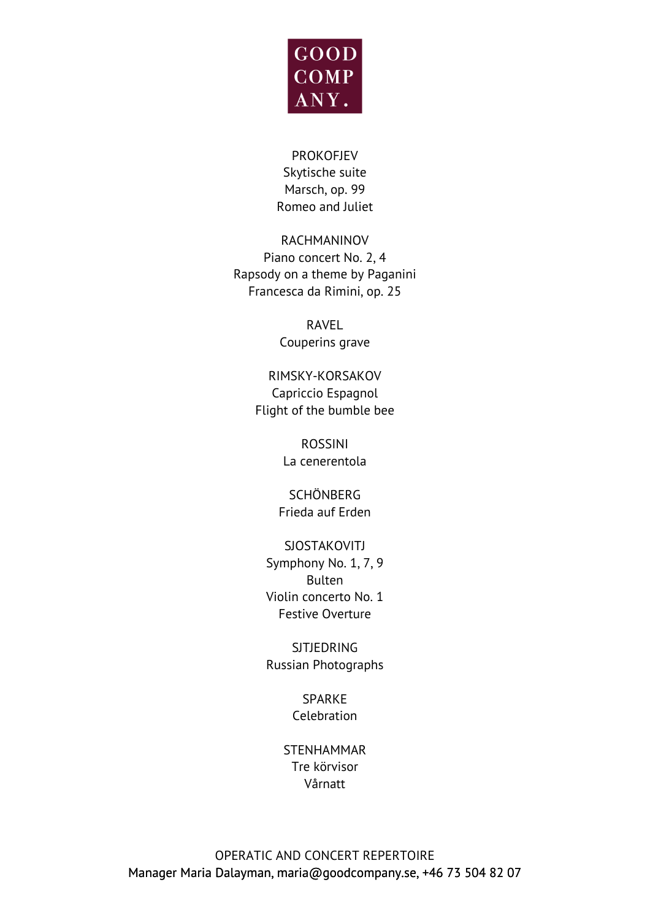

PROKOFJEV Skytische suite Marsch, op. 99 Romeo and Juliet

RACHMANINOV Piano concert No. 2, 4 Rapsody on a theme by Paganini Francesca da Rimini, op. 25

> RAVEL Couperins grave

RIMSKY-KORSAKOV Capriccio Espagnol Flight of the bumble bee

> ROSSINI La cenerentola

SCHÖNBERG Frieda auf Erden

### **SJOSTAKOVITJ**

Symphony No. 1, 7, 9 Bulten Violin concerto No. 1 Festive Overture

SJTJEDRING Russian Photographs

> SPARKE Celebration

STENHAMMAR Tre körvisor Vårnatt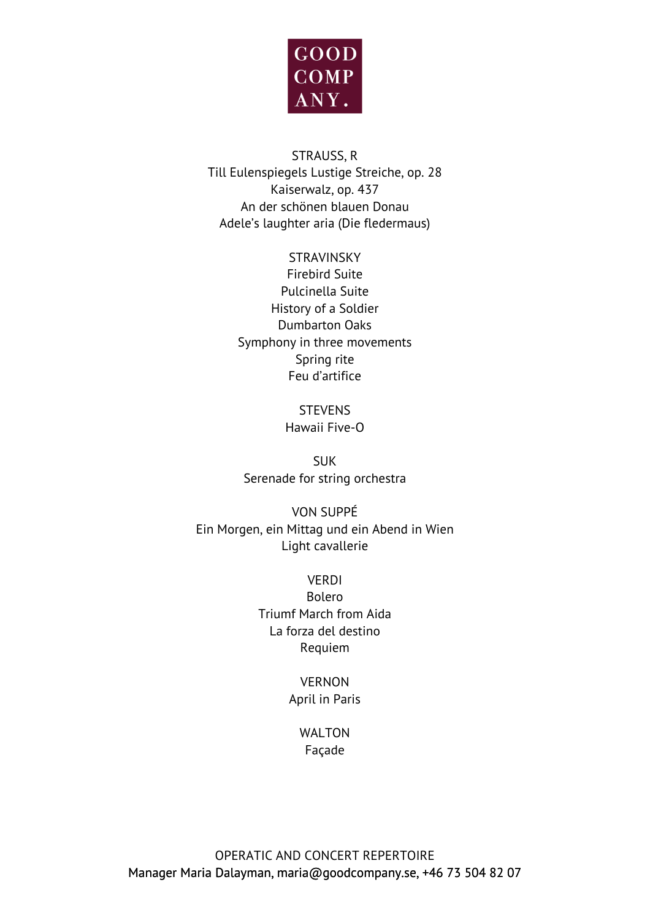

### STRAUSS, R Till Eulenspiegels Lustige Streiche, op. 28 Kaiserwalz, op. 437 An der schönen blauen Donau Adele's laughter aria (Die fledermaus)

#### STRAVINSKY

Firebird Suite Pulcinella Suite History of a Soldier Dumbarton Oaks Symphony in three movements Spring rite Feu d'artifice

> **STEVENS** Hawaii Five-O

SUK Serenade for string orchestra

VON SUPPÉ Ein Morgen, ein Mittag und ein Abend in Wien Light cavallerie

> VERDI Bolero Triumf March from Aida La forza del destino Requiem

#### VERNON April in Paris

#### WALTON Façade